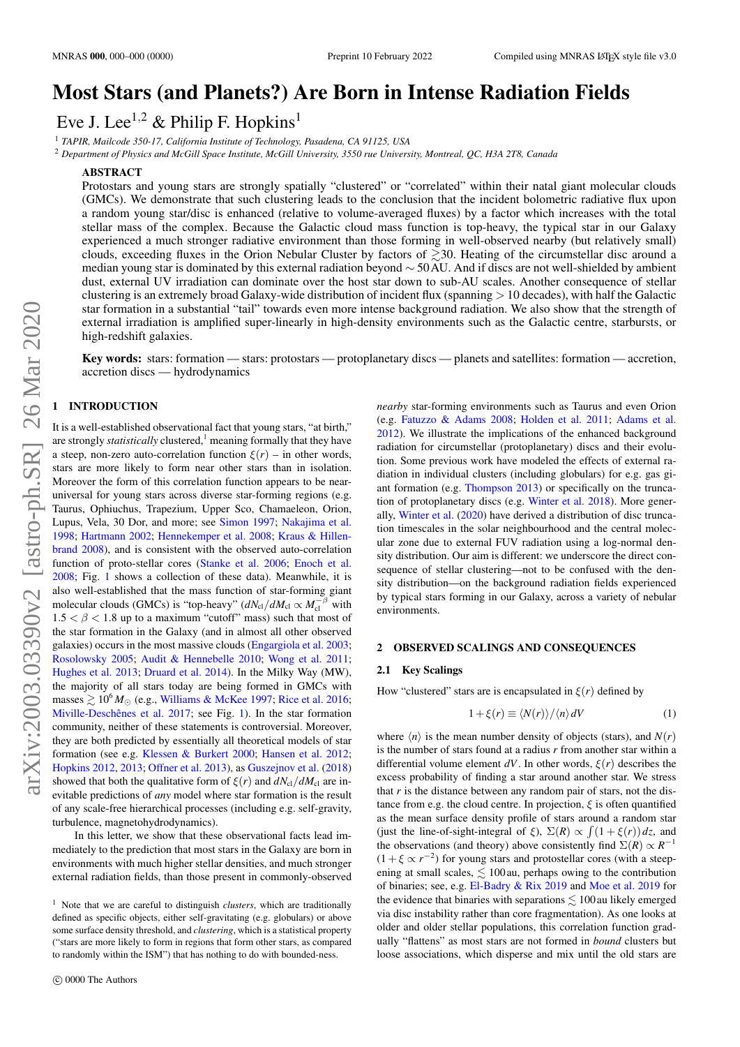# Most Stars (and Planets?) Are Born in Intense Radiation Fields

Eve J. Lee<sup>1,2</sup> & Philip F. Hopkins<sup>1</sup>

<sup>1</sup> *TAPIR, Mailcode 350-17, California Institute of Technology, Pasadena, CA 91125, USA*

<sup>2</sup> *Department of Physics and McGill Space Institute, McGill University, 3550 rue University, Montreal, QC, H3A 2T8, Canada*

#### ABSTRACT

Protostars and young stars are strongly spatially "clustered" or "correlated" within their natal giant molecular clouds (GMCs). We demonstrate that such clustering leads to the conclusion that the incident bolometric radiative flux upon a random young star/disc is enhanced (relative to volume-averaged fluxes) by a factor which increases with the total stellar mass of the complex. Because the Galactic cloud mass function is top-heavy, the typical star in our Galaxy experienced a much stronger radiative environment than those forming in well-observed nearby (but relatively small) clouds, exceeding fluxes in the Orion Nebular Cluster by factors of  $\geq$ 30. Heating of the circumstellar disc around a median young star is dominated by this external radiation beyond ∼ 50AU. And if discs are not well-shielded by ambient dust, external UV irradiation can dominate over the host star down to sub-AU scales. Another consequence of stellar clustering is an extremely broad Galaxy-wide distribution of incident flux (spanning  $> 10$  decades), with half the Galactic star formation in a substantial "tail" towards even more intense background radiation. We also show that the strength of external irradiation is amplified super-linearly in high-density environments such as the Galactic centre, starbursts, or high-redshift galaxies.

Key words: stars: formation — stars: protostars — protoplanetary discs — planets and satellites: formation — accretion, accretion discs — hydrodynamics

# 1 INTRODUCTION

It is a well-established observational fact that young stars, "at birth," are strongly *statistically* clustered,<sup>[1](#page-0-0)</sup> meaning formally that they have a steep, non-zero auto-correlation function  $\xi(r)$  – in other words, stars are more likely to form near other stars than in isolation. Moreover the form of this correlation function appears to be nearuniversal for young stars across diverse star-forming regions (e.g. Taurus, Ophiuchus, Trapezium, Upper Sco, Chamaeleon, Orion, Lupus, Vela, 30 Dor, and more; see [Simon](#page-4-0) [1997;](#page-4-0) [Nakajima et al.](#page-4-1) [1998;](#page-4-1) [Hartmann](#page-4-2) [2002;](#page-4-2) [Hennekemper et al.](#page-4-3) [2008;](#page-4-3) [Kraus & Hillen](#page-4-4)[brand](#page-4-4) [2008\)](#page-4-4), and is consistent with the observed auto-correlation function of proto-stellar cores [\(Stanke et al.](#page-4-5) [2006;](#page-4-5) [Enoch et al.](#page-4-6) [2008;](#page-4-6) Fig. [1](#page-1-0) shows a collection of these data). Meanwhile, it is also well-established that the mass function of star-forming giant molecular clouds (GMCs) is "top-heavy" ( $dN_{\text{cl}}/dM_{\text{cl}} \propto M_{\text{cl}}^{-\beta}$  with  $1.5 < \beta < 1.8$  up to a maximum "cutoff" mass) such that most of the star formation in the Galaxy (and in almost all other observed galaxies) occurs in the most massive clouds [\(Engargiola et al.](#page-4-7) [2003;](#page-4-7) [Rosolowsky](#page-4-8) [2005;](#page-4-8) [Audit & Hennebelle](#page-4-9) [2010;](#page-4-9) [Wong et al.](#page-4-10) [2011;](#page-4-10) [Hughes et al.](#page-4-11) [2013;](#page-4-11) [Druard et al.](#page-4-12) [2014\)](#page-4-12). In the Milky Way (MW), the majority of all stars today are being formed in GMCs with masses  $\geq 10^6 M_{\odot}$  (e.g., [Williams & McKee](#page-4-13) [1997;](#page-4-13) [Rice et al.](#page-4-14) [2016;](#page-4-14) [Miville-Deschênes et al.](#page-4-15) [2017;](#page-4-15) see Fig. [1\)](#page-1-0). In the star formation community, neither of these statements is controversial. Moreover, they are both predicted by essentially all theoretical models of star formation (see e.g. [Klessen & Burkert](#page-4-16) [2000;](#page-4-16) [Hansen et al.](#page-4-17) [2012;](#page-4-17) [Hopkins](#page-4-18) [2012,](#page-4-18) [2013;](#page-4-19) [Offner et al.](#page-4-20) [2013\)](#page-4-20), as [Guszejnov et al.](#page-4-21) [\(2018\)](#page-4-21) showed that both the qualitative form of  $\xi(r)$  and  $dN_{\text{cl}}/dM_{\text{cl}}$  are inevitable predictions of *any* model where star formation is the result of any scale-free hierarchical processes (including e.g. self-gravity, turbulence, magnetohydrodynamics).

In this letter, we show that these observational facts lead immediately to the prediction that most stars in the Galaxy are born in environments with much higher stellar densities, and much stronger external radiation fields, than those present in commonly-observed *nearby* star-forming environments such as Taurus and even Orion (e.g. [Fatuzzo & Adams](#page-4-22) [2008;](#page-4-22) [Holden et al.](#page-4-23) [2011;](#page-4-23) [Adams et al.](#page-4-24) [2012\)](#page-4-24). We illustrate the implications of the enhanced background radiation for circumstellar (protoplanetary) discs and their evolution. Some previous work have modeled the effects of external radiation in individual clusters (including globulars) for e.g. gas giant formation (e.g. [Thompson](#page-4-25) [2013\)](#page-4-25) or specifically on the truncation of protoplanetary discs (e.g. [Winter et al.](#page-4-26) [2018\)](#page-4-26). More generally, [Winter et al.](#page-4-27) [\(2020\)](#page-4-27) have derived a distribution of disc truncation timescales in the solar neighbourhood and the central molecular zone due to external FUV radiation using a log-normal density distribution. Our aim is different: we underscore the direct consequence of stellar clustering—not to be confused with the density distribution—on the background radiation fields experienced by typical stars forming in our Galaxy, across a variety of nebular environments.

## 2 OBSERVED SCALINGS AND CONSEQUENCES

#### 2.1 Key Scalings

How "clustered" stars are is encapsulated in  $\xi(r)$  defined by

$$
1 + \xi(r) \equiv \langle N(r) \rangle / \langle n \rangle \, dV \tag{1}
$$

where  $\langle n \rangle$  is the mean number density of objects (stars), and  $N(r)$ is the number of stars found at a radius *r* from another star within a differential volume element  $dV$ . In other words,  $\xi(r)$  describes the excess probability of finding a star around another star. We stress that  $r$  is the distance between any random pair of stars, not the distance from e.g. the cloud centre. In projection,  $\xi$  is often quantified as the mean surface density profile of stars around a random star (just the line-of-sight-integral of  $\xi$ ),  $\Sigma(R) \propto \int (1 + \xi(r)) dz$ , and the observations (and theory) above consistently find  $\Sigma(R) \propto R^{-1}$  $(1 + \xi \propto r^{-2})$  for young stars and protostellar cores (with a steepening at small scales,  $\leq 100$  au, perhaps owing to the contribution of binaries; see, e.g. [El-Badry & Rix](#page-4-28) [2019](#page-4-28) and [Moe et al.](#page-4-29) [2019](#page-4-29) for the evidence that binaries with separations  $\leq 100$  au likely emerged via disc instability rather than core fragmentation). As one looks at older and older stellar populations, this correlation function gradually "flattens" as most stars are not formed in *bound* clusters but loose associations, which disperse and mix until the old stars are

<span id="page-0-0"></span><sup>1</sup> Note that we are careful to distinguish *clusters*, which are traditionally defined as specific objects, either self-gravitating (e.g. globulars) or above some surface density threshold, and *clustering*, which is a statistical property ("stars are more likely to form in regions that form other stars, as compared to randomly within the ISM") that has nothing to do with bounded-ness.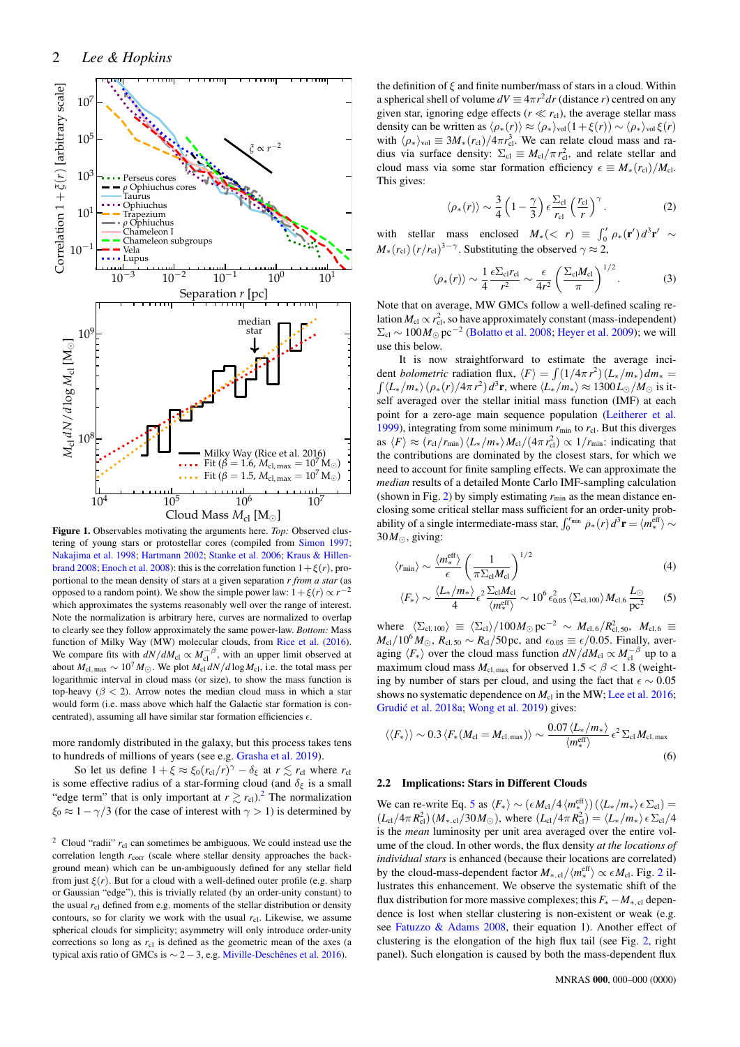

<span id="page-1-0"></span>Figure 1. Observables motivating the arguments here. *Top:* Observed clustering of young stars or protostellar cores (compiled from [Simon](#page-4-0) [1997;](#page-4-0) [Nakajima et al.](#page-4-1) [1998;](#page-4-1) [Hartmann](#page-4-2) [2002;](#page-4-2) [Stanke et al.](#page-4-5) [2006;](#page-4-5) [Kraus & Hillen](#page-4-4)[brand](#page-4-4) [2008;](#page-4-4) [Enoch et al.](#page-4-6) [2008\)](#page-4-6): this is the correlation function  $1+\xi(r)$ , proportional to the mean density of stars at a given separation *r from a star* (as opposed to a random point). We show the simple power law:  $1+\xi(r) \propto r^{-2}$ which approximates the systems reasonably well over the range of interest. Note the normalization is arbitrary here, curves are normalized to overlap to clearly see they follow approximately the same power-law. *Bottom:* Mass function of Milky Way (MW) molecular clouds, from [Rice et al.](#page-4-14) [\(2016\)](#page-4-14). We compare fits with  $dN/dM_{\text{cl}} \propto M_{\text{cl}}^{-\beta}$ , with an upper limit observed at about  $M_{\text{cl, max}} \sim 10^7 M_{\odot}$ . We plot  $M_{\text{cl}} dN/d \log M_{\text{cl}}$ , i.e. the total mass per logarithmic interval in cloud mass (or size), to show the mass function is top-heavy ( $\beta$  < 2). Arrow notes the median cloud mass in which a star would form (i.e. mass above which half the Galactic star formation is concentrated), assuming all have similar star formation efficiencies  $\epsilon$ .

more randomly distributed in the galaxy, but this process takes tens to hundreds of millions of years (see e.g. [Grasha et al.](#page-4-30) [2019\)](#page-4-30).

So let us define  $1 + \xi \approx \xi_0 (r_{\text{cl}}/r)^{\gamma} - \delta_{\xi}$  at  $r \lesssim r_{\text{cl}}$  where  $r_{\text{cl}}$ is some effective radius of a star-forming cloud (and  $\delta_{\xi}$  is a small "edge term" that is only important at  $r \gtrsim r_{\text{cl}}$ ).<sup>[2](#page-1-1)</sup> The normalization  $\xi_0 \approx 1 - \gamma/3$  (for the case of interest with  $\gamma > 1$ ) is determined by

the definition of  $\xi$  and finite number/mass of stars in a cloud. Within a spherical shell of volume  $dV \equiv 4\pi r^2 dr$  (distance *r*) centred on any given star, ignoring edge effects ( $r \ll r_{\rm cl}$ ), the average stellar mass density can be written as  $\langle \rho_*(r) \rangle \approx \langle \rho_* \rangle_{\text{vol}}(1+\xi(r)) \sim \langle \rho_* \rangle_{\text{vol}} \xi(r)$ with  $\langle \rho_* \rangle_{\text{vol}} \equiv 3M_*(r_{\text{cl}})/4\pi r_{\text{cl}}^3$ . We can relate cloud mass and radius via surface density:  $\Sigma_{\text{cl}} \equiv M_{\text{cl}} / \pi r_{\text{cl}}^2$ , and relate stellar and cloud mass via some star formation efficiency  $\epsilon \equiv M_*(r_{\text{cl}})/M_{\text{cl}}$ . This gives:

$$
\langle \rho_*(r) \rangle \sim \frac{3}{4} \left( 1 - \frac{\gamma}{3} \right) \epsilon \frac{\Sigma_{\text{cl}}}{r_{\text{cl}}} \left( \frac{r_{\text{cl}}}{r} \right)^{\gamma} . \tag{2}
$$

with stellar mass enclosed  $M_*(< r) \equiv \int_0^r \rho_*(\mathbf{r}') d^3 \mathbf{r}' \sim$  $M_*(r_{\text{cl}})(r/r_{\text{cl}})^{3-\gamma}$ . Substituting the observed  $\gamma \approx 2$ ,

$$
\langle \rho_*(r) \rangle \sim \frac{1}{4} \frac{\epsilon \Sigma_{\text{cl}} r_{\text{cl}}}{r^2} \sim \frac{\epsilon}{4r^2} \left( \frac{\Sigma_{\text{cl}} M_{\text{cl}}}{\pi} \right)^{1/2}.
$$
 (3)

Note that on average, MW GMCs follow a well-defined scaling relation  $M_{\text{cl}} \propto r_{\text{cl}}^2$ , so have approximately constant (mass-independent)  $\Sigma_{\text{cl}} \sim 100 M_{\odot} \text{ pc}^{-2}$  [\(Bolatto et al.](#page-4-32) [2008;](#page-4-32) [Heyer et al.](#page-4-33) [2009\)](#page-4-33); we will use this below.

It is now straightforward to estimate the average incident *bolometric* radiation flux,  $\langle F \rangle = \int (1/4\pi r^2) (L_*/m_*) dm_* =$  $\int (L_*/m_*) \left(\rho_*(r)/4\pi r^2\right) d^3r$ , where  $\langle L_*/m_* \rangle \approx 1300 L_{\odot}/M_{\odot}$  is itself averaged over the stellar initial mass function (IMF) at each point for a zero-age main sequence population [\(Leitherer et al.](#page-4-34) [1999\)](#page-4-34), integrating from some minimum  $r_{\text{min}}$  to  $r_{\text{cl}}$ . But this diverges as  $\langle F \rangle \approx (r_{\text{cl}}/r_{\text{min}})\langle L_*/m_* \rangle M_{\text{cl}}/(4\pi r_{\text{cl}}^2) \propto 1/r_{\text{min}}$ : indicating that the contributions are dominated by the closest stars, for which we need to account for finite sampling effects. We can approximate the *median* results of a detailed Monte Carlo IMF-sampling calculation (shown in Fig. [2\)](#page-2-0) by simply estimating  $r_{\text{min}}$  as the mean distance enclosing some critical stellar mass sufficient for an order-unity probability of a single intermediate-mass star,  $\int_0^{r_{\text{min}}} \rho_*(r) d^3 \mathbf{r} = \langle m_*^{\text{eff}} \rangle \sim$  $30M_{\odot}$ , giving:

$$
\langle r_{\min} \rangle \sim \frac{\langle m_{*}^{\text{eff}} \rangle}{\epsilon} \left( \frac{1}{\pi \Sigma_{\text{cl}} M_{\text{cl}}} \right)^{1/2} \tag{4}
$$

<span id="page-1-2"></span>
$$
\langle F_* \rangle \sim \frac{\langle L_*/m_* \rangle}{4} \epsilon^2 \frac{\Sigma_{\rm cl} M_{\rm cl}}{\langle m_*^{\rm eff} \rangle} \sim 10^6 \epsilon_{0.05}^2 \langle \Sigma_{\rm cl,100} \rangle M_{\rm cl,6} \frac{L_{\odot}}{\text{pc}^2} \tag{5}
$$

where  $\langle \Sigma_{\text{cl, 100}} \rangle$   $\equiv \langle \Sigma_{\text{cl}} \rangle / 100 M_{\odot} \text{ pc}^{-2} \sim M_{\text{cl, 6}} / R_{\text{cl, 50}}^2$ ,  $M_{\text{cl, 6}}$   $\equiv$  $M_{\text{cl}}/10^6 M_{\odot}$ ,  $R_{\text{cl,50}} \sim R_{\text{cl}}/50 \text{ pc}$ , and  $\epsilon_{0.05} \equiv \epsilon/0.05$ . Finally, averaging  $\langle F_* \rangle$  over the cloud mass function  $dN/dM_{\text{cl}} \propto M_{\text{cl}}^{-\beta}$  up to a maximum cloud mass  $M_{\text{cl,max}}$  for observed  $1.5 < \beta < 1.8$  (weighting by number of stars per cloud, and using the fact that  $\epsilon \sim 0.05$ shows no systematic dependence on  $M_{cl}$  in the MW; [Lee et al.](#page-4-35) [2016;](#page-4-35) Grudić et al. [2018a;](#page-4-36) [Wong et al.](#page-4-37) [2019\)](#page-4-37) gives:

<span id="page-1-3"></span>
$$
\langle\langle F_*\rangle\rangle \sim 0.3 \langle F_* (M_{\rm cl} = M_{\rm cl, max})\rangle \sim \frac{0.07 \langle L_*/m_*\rangle}{\langle m_*^{\rm eff}\rangle} \epsilon^2 \Sigma_{\rm cl} M_{\rm cl, max}
$$
(6)

## 2.2 Implications: Stars in Different Clouds

We can re-write Eq. [5](#page-1-2) as  $\langle F_* \rangle \sim (\epsilon M_{\rm cl}/4\langle m_*^{\rm eff} \rangle) (\langle L_*/m_* \rangle \epsilon \Sigma_{\rm cl})$  =  $(L_{cl}/4\pi R_{cl}^2)(M_{*,cl}/30M_{\odot})$ , where  $(L_{cl}/4\pi R_{cl}^2) = \langle L_*/m_* \rangle \epsilon \Sigma_{cl}/4$ is the *mean* luminosity per unit area averaged over the entire volume of the cloud. In other words, the flux density *at the locations of individual stars* is enhanced (because their locations are correlated) by the cloud-mass-dependent factor  $M_{*,\text{cl}}/\langle m_*^{\text{eff}} \rangle \propto \epsilon M_{\text{cl}}$ . Fig. [2](#page-2-0) illustrates this enhancement. We observe the systematic shift of the flux distribution for more massive complexes; this *F*∗−*M*<sup>∗</sup>, cl dependence is lost when stellar clustering is non-existent or weak (e.g. see [Fatuzzo & Adams](#page-4-22) [2008,](#page-4-22) their equation 1). Another effect of clustering is the elongation of the high flux tail (see Fig. [2,](#page-2-0) right panel). Such elongation is caused by both the mass-dependent flux

<span id="page-1-1"></span><sup>&</sup>lt;sup>2</sup> Cloud "radii"  $r_{\text{cl}}$  can sometimes be ambiguous. We could instead use the correlation length  $r_{\text{corr}}$  (scale where stellar density approaches the background mean) which can be un-ambiguously defined for any stellar field from just  $\xi(r)$ . But for a cloud with a well-defined outer profile (e.g. sharp or Gaussian "edge"), this is trivially related (by an order-unity constant) to the usual  $r_{\text{cl}}$  defined from e.g. moments of the stellar distribution or density contours, so for clarity we work with the usual  $r_{\text{cl}}$ . Likewise, we assume spherical clouds for simplicity; asymmetry will only introduce order-unity corrections so long as  $r<sub>cl</sub>$  is defined as the geometric mean of the axes (a typical axis ratio of GMCs is  $\sim$  2 – 3, e.g. [Miville-Deschênes et al.](#page-4-31) [2016\)](#page-4-31).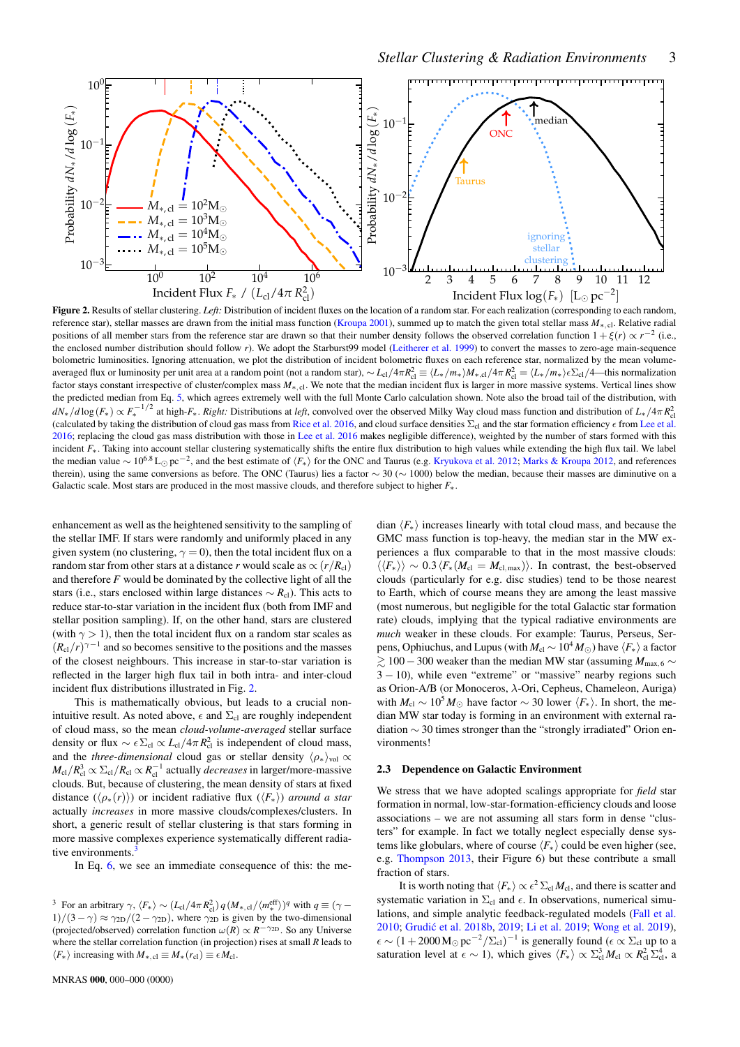

Figure 2. Results of stellar clustering. *Left:* Distribution of incident fluxes on the location of a random star. For each realization (corresponding to each random, reference star), stellar masses are drawn from the initial mass function [\(Kroupa](#page-4-38) [2001\)](#page-4-38), summed up to match the given total stellar mass  $M_{\ast, cl}$ . Relative radial positions of all member stars from the reference star are drawn so that their number density follows the observed correlation function  $1 + \xi(r) \propto r^{-2}$  (i.e., the enclosed number distribution should follow *r*). We adopt the Starburst99 model [\(Leitherer et al.](#page-4-34) [1999\)](#page-4-34) to convert the masses to zero-age main-sequence bolometric luminosities. Ignoring attenuation, we plot the distribution of incident bolometric fluxes on each reference star, normalized by the mean volumeaveraged flux or luminosity per unit area at a random point (not a random star),  $\sim L_{\rm cl}/4\pi R_{\rm cl}^2 \equiv \langle L_*/m_* \rangle M_{*,{\rm cl}}/4\pi R_{\rm cl}^2 = \langle L_*/m_* \rangle \epsilon \Sigma_{\rm cl}/4$ —this normalization factor stays constant irrespective of cluster/complex mass  $M_{\ast, c}$ . We note that the median incident flux is larger in more massive systems. Vertical lines show the predicted median from Eq. [5,](#page-1-2) which agrees extremely well with the full Monte Carlo calculation shown. Note also the broad tail of the distribution, with  $dN_*/d\log(F_*) \propto F_*^{-1/2}$  at high-*F*<sub>\*</sub>. *Right:* Distributions at *left*, convolved over the observed Milky Way cloud mass function and distribution of  $L_*/4\pi R_{cl}^2$ (calculated by taking the distribution of cloud gas mass from [Rice et al.](#page-4-14) [2016,](#page-4-14) and cloud surface densities  $\Sigma_{cl}$  and the star formation efficiency  $\epsilon$  from [Lee et al.](#page-4-35) [2016;](#page-4-35) replacing the cloud gas mass distribution with those in [Lee et al.](#page-4-35) [2016](#page-4-35) makes negligible difference), weighted by the number of stars formed with this incident  $F_*$ . Taking into account stellar clustering systematically shifts the entire flux distribution to high values while extending the high flux tail. We label the median value ~ 10<sup>6.8</sup> L<sub>⊙</sub> pc<sup>-2</sup>, and the best estimate of  $\langle F_* \rangle$  for the ONC and Taurus (e.g. [Kryukova et al.](#page-4-39) [2012;](#page-4-39) [Marks & Kroupa](#page-4-40) [2012,](#page-4-40) and references therein), using the same conversions as before. The ONC (Taurus) lies a factor  $\sim 30 \ (\sim 1000)$  below the median, because their masses are diminutive on a Galactic scale. Most stars are produced in the most massive clouds, and therefore subject to higher *F*∗.

enhancement as well as the heightened sensitivity to the sampling of the stellar IMF. If stars were randomly and uniformly placed in any given system (no clustering,  $\gamma = 0$ ), then the total incident flux on a random star from other stars at a distance *r* would scale as  $\propto (r/R_{\text{cl}})$ and therefore *F* would be dominated by the collective light of all the stars (i.e., stars enclosed within large distances  $\sim R_{c}$ ). This acts to reduce star-to-star variation in the incident flux (both from IMF and stellar position sampling). If, on the other hand, stars are clustered (with  $\gamma > 1$ ), then the total incident flux on a random star scales as  $(R_{\rm cl}/r)^{\gamma-1}$  and so becomes sensitive to the positions and the masses of the closest neighbours. This increase in star-to-star variation is reflected in the larger high flux tail in both intra- and inter-cloud incident flux distributions illustrated in Fig. [2.](#page-2-0)

This is mathematically obvious, but leads to a crucial nonintuitive result. As noted above,  $\epsilon$  and  $\Sigma_{\rm cl}$  are roughly independent of cloud mass, so the mean *cloud-volume-averaged* stellar surface density or flux  $\sim \epsilon \Sigma_{\text{cl}} \propto L_{\text{cl}} / 4\pi R_{\text{cl}}^2$  is independent of cloud mass, and the *three-dimensional* cloud gas or stellar density  $\langle \rho_* \rangle_{\text{vol}} \propto$  $M_{\rm cl}/R_{\rm cl}^3 \propto \Sigma_{\rm cl}/R_{\rm cl} \propto R_{\rm cl}^{-1}$  actually *decreases* in larger/more-massive clouds. But, because of clustering, the mean density of stars at fixed distance  $(\langle \rho_*(r) \rangle)$  or incident radiative flux  $(\langle F_* \rangle)$  *around a star* actually *increases* in more massive clouds/complexes/clusters. In short, a generic result of stellar clustering is that stars forming in more massive complexes experience systematically different radiative environments.

In Eq. [6,](#page-1-3) we see an immediate consequence of this: the me-

<span id="page-2-1"></span><sup>3</sup> For an arbitrary  $\gamma$ ,  $\langle F_* \rangle \sim (L_{cl}/4\pi R_{cl}^2) q (M_{*,cl}/\langle m_*^{\text{eff}} \rangle)^q$  with  $q \equiv (\gamma - \frac{1}{2}) q (M_{*,cl}/4\pi R_{cl}^2)^q$  $1)/(3 - \gamma) \approx \gamma_{2D}/(2 - \gamma_{2D})$ , where  $\gamma_{2D}$  is given by the two-dimensional (projected/observed) correlation function  $\omega(R) \propto R^{-\gamma_{2D}}$ . So any Universe where the stellar correlation function (in projection) rises at small *R* leads to  $\langle F_* \rangle$  increasing with  $M_{*, \text{cl}} \equiv M_*(r_{\text{cl}}) \equiv \epsilon M_{\text{cl}}$ .

<span id="page-2-0"></span>dian  $\langle F_* \rangle$  increases linearly with total cloud mass, and because the GMC mass function is top-heavy, the median star in the MW experiences a flux comparable to that in the most massive clouds:  $\langle \langle F_* \rangle \rangle \sim 0.3 \langle F_* (M_{\rm cl} = M_{\rm cl, max}) \rangle$ . In contrast, the best-observed clouds (particularly for e.g. disc studies) tend to be those nearest to Earth, which of course means they are among the least massive (most numerous, but negligible for the total Galactic star formation rate) clouds, implying that the typical radiative environments are *much* weaker in these clouds. For example: Taurus, Perseus, Serpens, Ophiuchus, and Lupus (with  $M_{\rm cl} \sim 10^4 M_{\odot}$ ) have  $\langle F_* \rangle$  a factor & 100−300 weaker than the median MW star (assuming *M*max, <sup>6</sup> ∼  $3 - 10$ ), while even "extreme" or "massive" nearby regions such as Orion-A/B (or Monoceros, λ-Ori, Cepheus, Chameleon, Auriga) with  $M_{\text{cl}} \sim 10^5 M_{\odot}$  have factor  $\sim 30$  lower  $\langle F_* \rangle$ . In short, the median MW star today is forming in an environment with external radiation ∼ 30 times stronger than the "strongly irradiated" Orion environments!

## 2.3 Dependence on Galactic Environment

We stress that we have adopted scalings appropriate for *field* star formation in normal, low-star-formation-efficiency clouds and loose associations – we are not assuming all stars form in dense "clusters" for example. In fact we totally neglect especially dense systems like globulars, where of course  $\langle F_* \rangle$  could be even higher (see, e.g. [Thompson](#page-4-25) [2013,](#page-4-25) their Figure 6) but these contribute a small fraction of stars.

It is worth noting that  $\langle F_* \rangle \propto \epsilon^2 \Sigma_{\rm cl} M_{\rm cl}$ , and there is scatter and systematic variation in  $\Sigma_{\rm cl}$  and  $\epsilon$ . In observations, numerical simulations, and simple analytic feedback-regulated models [\(Fall et al.](#page-4-41) [2010;](#page-4-41) Grudić et al. [2018b,](#page-4-42) [2019;](#page-4-44) [Li et al.](#page-4-44) 2019; [Wong et al.](#page-4-37) [2019\)](#page-4-37),  $\epsilon \sim (1+2000 \,\mathrm{M}_{\odot}\,\mathrm{pc}^{-2}/\Sigma_{\text{cl}})^{-1}$  is generally found ( $\epsilon \propto \Sigma_{\text{cl}}$  up to a saturation level at  $\epsilon \sim 1$ ), which gives  $\langle F_* \rangle \propto \Sigma_{\text{cl}}^3 M_{\text{cl}} \propto R_{\text{cl}}^2 \Sigma_{\text{cl}}^4$ , a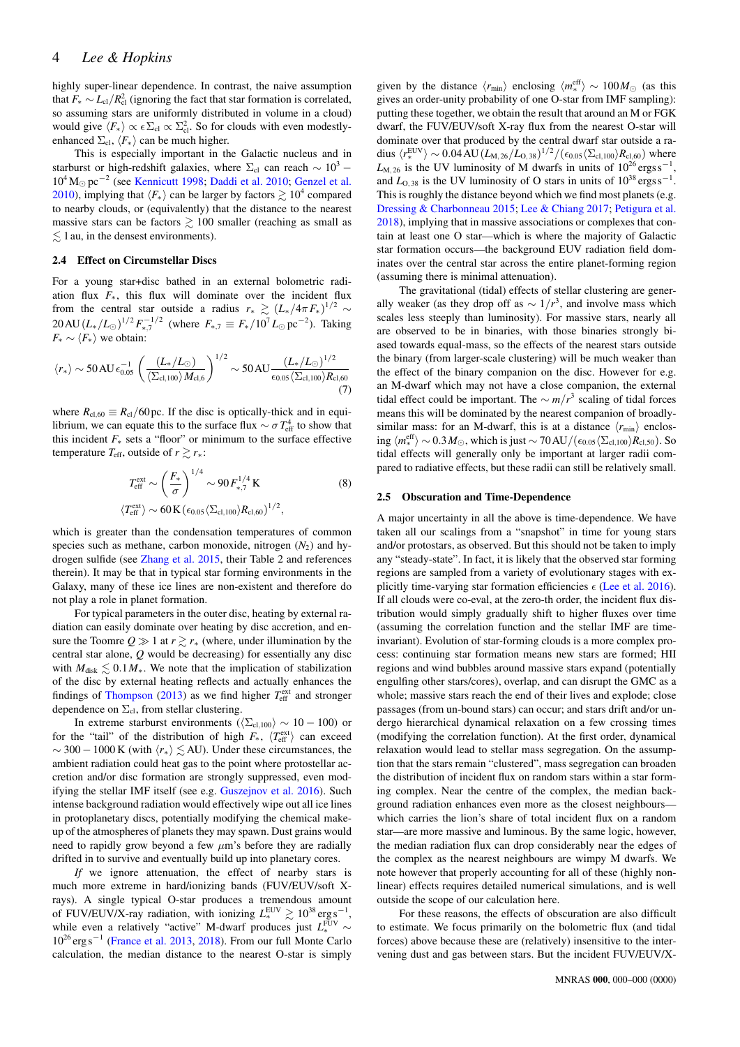# 4 *Lee & Hopkins*

highly super-linear dependence. In contrast, the naive assumption that  $F_* \sim L_{cl}/R_{cl}^2$  (ignoring the fact that star formation is correlated, so assuming stars are uniformly distributed in volume in a cloud) would give  $\langle F_* \rangle \propto \epsilon \Sigma_{\rm cl} \propto \Sigma_{\rm cl}^2$ . So for clouds with even modestlyenhanced  $\Sigma_{\text{cl}}, \langle F_* \rangle$  can be much higher.

This is especially important in the Galactic nucleus and in starburst or high-redshift galaxies, where  $\Sigma_{\rm cl}$  can reach  $\sim 10^3$  – 10<sup>4</sup> M<sub>☉</sub> pc<sup>-2</sup> (see [Kennicutt](#page-4-45) [1998;](#page-4-45) [Daddi et al.](#page-4-46) [2010;](#page-4-46) [Genzel et al.](#page-4-47) [2010\)](#page-4-47), implying that  $\langle F_* \rangle$  can be larger by factors  $\gtrsim 10^4$  compared to nearby clouds, or (equivalently) that the distance to the nearest massive stars can be factors  $\geq 100$  smaller (reaching as small as  $\lesssim$  1 au, in the densest environments).

### 2.4 Effect on Circumstellar Discs

For a young star+disc bathed in an external bolometric radiation flux *F*∗, this flux will dominate over the incident flux from the central star outside a radius  $r_* \ge (L_*/4\pi F_*)^{1/2} \sim$  $20 \text{AU} (L_*/L_{\odot})^{1/2} F_{*,7}^{-1/2}$  (where  $F_{*,7} \equiv F_*/10^7 L_{\odot} \text{pc}^{-2}$ ). Taking  $F_* \sim \langle F_* \rangle$  we obtain:

$$
\langle r_* \rangle \sim 50 \, \text{AU} \, \epsilon_{0.05}^{-1} \, \left( \frac{(L_*/L_\odot)}{\langle \Sigma_{\text{cl},100} \rangle M_{\text{cl},6}} \right)^{1/2} \sim 50 \, \text{AU} \frac{(L_*/L_\odot)^{1/2}}{\epsilon_{0.05} \langle \Sigma_{\text{cl},100} \rangle R_{\text{cl},60}} \tag{7}
$$

where  $R_{\text{cl,60}} \equiv R_{\text{cl}}/60 \text{ pc}$ . If the disc is optically-thick and in equilibrium, we can equate this to the surface flux  $\sim \sigma T_{\text{eff}}^4$  to show that this incident *F*<sup>∗</sup> sets a "floor" or minimum to the surface effective temperature  $T_{\text{eff}}$ , outside of  $r \gtrsim r_*$ :

$$
T_{\text{eff}}^{\text{ext}} \sim \left(\frac{F_*}{\sigma}\right)^{1/4} \sim 90 F_{*,7}^{1/4} \text{K}
$$
\n
$$
\langle T_{\text{eff}}^{\text{ext}} \rangle \sim 60 \text{K} \left(\epsilon_{0.05} \langle \Sigma_{\text{cl,100}} \rangle R_{\text{cl,60}}\right)^{1/2},
$$
\n(8)

which is greater than the condensation temperatures of common species such as methane, carbon monoxide, nitrogen  $(N_2)$  and hydrogen sulfide (see [Zhang et al.](#page-4-48) [2015,](#page-4-48) their Table 2 and references therein). It may be that in typical star forming environments in the Galaxy, many of these ice lines are non-existent and therefore do not play a role in planet formation.

For typical parameters in the outer disc, heating by external radiation can easily dominate over heating by disc accretion, and ensure the Toomre  $Q \gg 1$  at  $r \gtrsim r_*$  (where, under illumination by the central star alone, *Q* would be decreasing) for essentially any disc with  $M_{disk} \lesssim 0.1 M_*$ . We note that the implication of stabilization of the disc by external heating reflects and actually enhances the findings of [Thompson](#page-4-25) [\(2013\)](#page-4-25) as we find higher  $T_{\text{eff}}^{\text{ext}}$  and stronger dependence on  $\Sigma_{\text{cl}}$ , from stellar clustering.

In extreme starburst environments ( $\langle \Sigma_{\text{cl.100}} \rangle \sim 10 - 100$ ) or for the "tail" of the distribution of high  $F_*$ ,  $\langle T_{\text{eff}}^{\text{ext}} \rangle$  can exceed  $\sim$  300 – 1000 K (with  $\langle r_* \rangle \leq$  AU). Under these circumstances, the ambient radiation could heat gas to the point where protostellar accretion and/or disc formation are strongly suppressed, even modifying the stellar IMF itself (see e.g. [Guszejnov et al.](#page-4-49) [2016\)](#page-4-49). Such intense background radiation would effectively wipe out all ice lines in protoplanetary discs, potentially modifying the chemical makeup of the atmospheres of planets they may spawn. Dust grains would need to rapidly grow beyond a few  $\mu$ m's before they are radially drifted in to survive and eventually build up into planetary cores.

*If* we ignore attenuation, the effect of nearby stars is much more extreme in hard/ionizing bands (FUV/EUV/soft Xrays). A single typical O-star produces a tremendous amount of FUV/EUV/X-ray radiation, with ionizing  $L_*^{\text{EUV}} \gtrsim 10^{38} \text{ erg s}^{-1}$ , while even a relatively "active" M-dwarf produces just  $L^{\text{FUV}}_* \sim$ 10<sup>26</sup> erg s<sup>−</sup><sup>1</sup> [\(France et al.](#page-4-50) [2013,](#page-4-50) [2018\)](#page-4-51). From our full Monte Carlo calculation, the median distance to the nearest O-star is simply

given by the distance  $\langle r_{\rm min} \rangle$  enclosing  $\langle m_{*}^{\rm eff} \rangle \sim 100 M_{\odot}$  (as this gives an order-unity probability of one O-star from IMF sampling): putting these together, we obtain the result that around an M or FGK dwarf, the FUV/EUV/soft X-ray flux from the nearest O-star will dominate over that produced by the central dwarf star outside a radius  $\langle r_*^{\rm EUV} \rangle \sim 0.04 \, {\rm AU} \, (L_{\rm M, 26}/L_{\rm O, 38})^{1/2} / (\epsilon_{0.05} \langle \Sigma_{\rm cl,100} \rangle R_{\rm cl,60})$  where  $L_{\text{M},26}$  is the UV luminosity of M dwarfs in units of  $10^{26} \text{ergs s}^{-1}$ , and  $L_{O,38}$  is the UV luminosity of O stars in units of  $10^{38}$  ergs s<sup>-1</sup>. This is roughly the distance beyond which we find most planets (e.g. [Dressing & Charbonneau](#page-4-52) [2015;](#page-4-52) [Lee & Chiang](#page-4-53) [2017;](#page-4-53) [Petigura et al.](#page-4-54) [2018\)](#page-4-54), implying that in massive associations or complexes that contain at least one O star—which is where the majority of Galactic star formation occurs—the background EUV radiation field dominates over the central star across the entire planet-forming region (assuming there is minimal attenuation).

The gravitational (tidal) effects of stellar clustering are generally weaker (as they drop off as  $\sim 1/r^3$ , and involve mass which scales less steeply than luminosity). For massive stars, nearly all are observed to be in binaries, with those binaries strongly biased towards equal-mass, so the effects of the nearest stars outside the binary (from larger-scale clustering) will be much weaker than the effect of the binary companion on the disc. However for e.g. an M-dwarf which may not have a close companion, the external tidal effect could be important. The  $\sim$  *m*/ $r^3$  scaling of tidal forces means this will be dominated by the nearest companion of broadlysimilar mass: for an M-dwarf, this is at a distance  $\langle r_{\text{min}} \rangle$  enclosing  $\langle m_{*}^{\rm eff} \rangle$  ∼ 0.3*M*<sub>☉</sub>, which is just ∼ 70 AU/( $\epsilon_{0.05}$ ( $\Sigma_{\rm cl,100}$ )*R*<sub>cl,50</sub>). So tidal effects will generally only be important at larger radii compared to radiative effects, but these radii can still be relatively small.

## 2.5 Obscuration and Time-Dependence

A major uncertainty in all the above is time-dependence. We have taken all our scalings from a "snapshot" in time for young stars and/or protostars, as observed. But this should not be taken to imply any "steady-state". In fact, it is likely that the observed star forming regions are sampled from a variety of evolutionary stages with explicitly time-varying star formation efficiencies  $\epsilon$  [\(Lee et al.](#page-4-35) [2016\)](#page-4-35). If all clouds were co-eval, at the zero-th order, the incident flux distribution would simply gradually shift to higher fluxes over time (assuming the correlation function and the stellar IMF are timeinvariant). Evolution of star-forming clouds is a more complex process: continuing star formation means new stars are formed; HII regions and wind bubbles around massive stars expand (potentially engulfing other stars/cores), overlap, and can disrupt the GMC as a whole; massive stars reach the end of their lives and explode; close passages (from un-bound stars) can occur; and stars drift and/or undergo hierarchical dynamical relaxation on a few crossing times (modifying the correlation function). At the first order, dynamical relaxation would lead to stellar mass segregation. On the assumption that the stars remain "clustered", mass segregation can broaden the distribution of incident flux on random stars within a star forming complex. Near the centre of the complex, the median background radiation enhances even more as the closest neighbours which carries the lion's share of total incident flux on a random star—are more massive and luminous. By the same logic, however, the median radiation flux can drop considerably near the edges of the complex as the nearest neighbours are wimpy M dwarfs. We note however that properly accounting for all of these (highly nonlinear) effects requires detailed numerical simulations, and is well outside the scope of our calculation here.

For these reasons, the effects of obscuration are also difficult to estimate. We focus primarily on the bolometric flux (and tidal forces) above because these are (relatively) insensitive to the intervening dust and gas between stars. But the incident FUV/EUV/X-